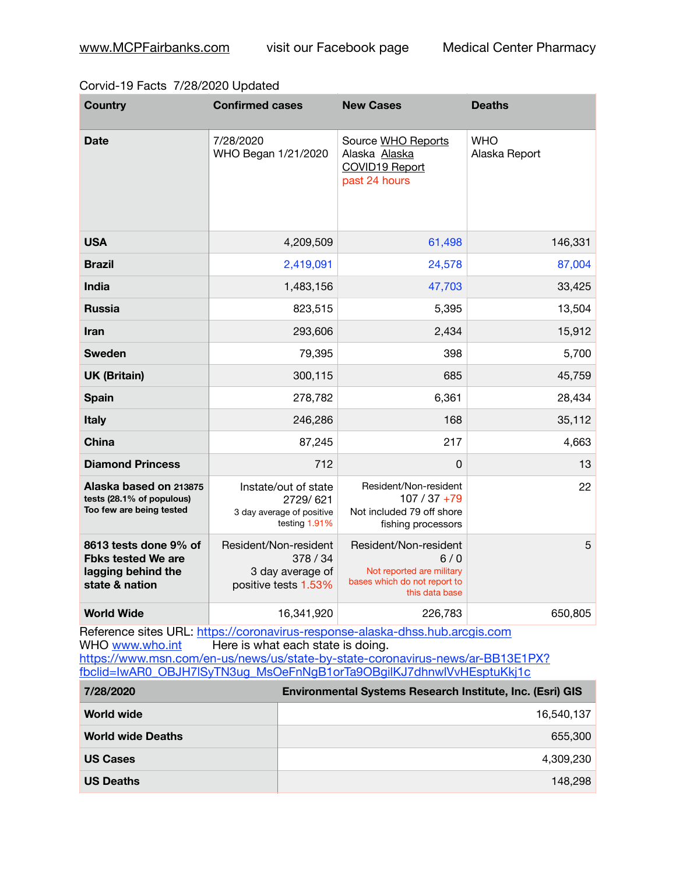## Corvid-19 Facts 7/28/2020 Updated

| <b>Country</b>                                                                             | <b>Confirmed cases</b>                                                         | <b>New Cases</b>                                                                                            | <b>Deaths</b>               |
|--------------------------------------------------------------------------------------------|--------------------------------------------------------------------------------|-------------------------------------------------------------------------------------------------------------|-----------------------------|
| <b>Date</b>                                                                                | 7/28/2020<br>WHO Began 1/21/2020                                               | Source WHO Reports<br>Alaska Alaska<br>COVID19 Report<br>past 24 hours                                      | <b>WHO</b><br>Alaska Report |
| <b>USA</b>                                                                                 | 4,209,509                                                                      | 61,498                                                                                                      | 146,331                     |
| <b>Brazil</b>                                                                              | 2,419,091                                                                      | 24,578                                                                                                      | 87,004                      |
| <b>India</b>                                                                               | 1,483,156                                                                      | 47,703                                                                                                      | 33,425                      |
| <b>Russia</b>                                                                              | 823,515                                                                        | 5,395                                                                                                       | 13,504                      |
| Iran                                                                                       | 293,606                                                                        | 2,434                                                                                                       | 15,912                      |
| <b>Sweden</b>                                                                              | 79,395                                                                         | 398                                                                                                         | 5,700                       |
| <b>UK (Britain)</b>                                                                        | 300,115                                                                        | 685                                                                                                         | 45,759                      |
| <b>Spain</b>                                                                               | 278,782                                                                        | 6,361                                                                                                       | 28,434                      |
| <b>Italy</b>                                                                               | 246,286                                                                        | 168                                                                                                         | 35,112                      |
| <b>China</b>                                                                               | 87,245                                                                         | 217                                                                                                         | 4,663                       |
| <b>Diamond Princess</b>                                                                    | 712                                                                            | $\mathbf 0$                                                                                                 | 13                          |
| Alaska based on 213875<br>tests (28.1% of populous)<br>Too few are being tested            | Instate/out of state<br>2729/621<br>3 day average of positive<br>testing 1.91% | Resident/Non-resident<br>$107/37+79$<br>Not included 79 off shore<br>fishing processors                     | 22                          |
| 8613 tests done 9% of<br><b>Fbks tested We are</b><br>lagging behind the<br>state & nation | Resident/Non-resident<br>378 / 34<br>3 day average of<br>positive tests 1.53%  | Resident/Non-resident<br>6/0<br>Not reported are military<br>bases which do not report to<br>this data base | 5                           |
| <b>World Wide</b>                                                                          | 16,341,920                                                                     | 226,783                                                                                                     | 650,805                     |

Reference sites URL: <https://coronavirus-response-alaska-dhss.hub.arcgis.com><br>WHO www.who.int Here is what each state is doing. Here is what each state is doing. [https://www.msn.com/en-us/news/us/state-by-state-coronavirus-news/ar-BB13E1PX?](https://www.msn.com/en-us/news/us/state-by-state-coronavirus-news/ar-BB13E1PX?fbclid=IwAR0_OBJH7lSyTN3ug_MsOeFnNgB1orTa9OBgilKJ7dhnwlVvHEsptuKkj1c) [fbclid=IwAR0\\_OBJH7lSyTN3ug\\_MsOeFnNgB1orTa9OBgilKJ7dhnwlVvHEsptuKkj1c](https://www.msn.com/en-us/news/us/state-by-state-coronavirus-news/ar-BB13E1PX?fbclid=IwAR0_OBJH7lSyTN3ug_MsOeFnNgB1orTa9OBgilKJ7dhnwlVvHEsptuKkj1c)

| 7/28/2020                | <b>Environmental Systems Research Institute, Inc. (Esri) GIS</b> |
|--------------------------|------------------------------------------------------------------|
| World wide               | 16.540.137                                                       |
| <b>World wide Deaths</b> | 655,300                                                          |
| <b>US Cases</b>          | 4,309,230                                                        |
| <b>US Deaths</b>         | 148.298                                                          |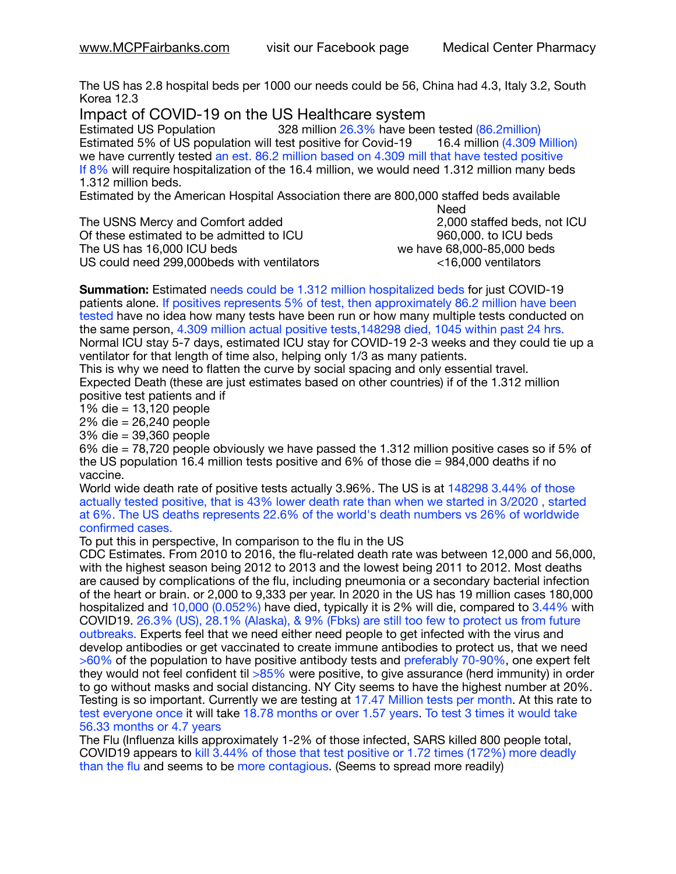The US has 2.8 hospital beds per 1000 our needs could be 56, China had 4.3, Italy 3.2, South Korea 12.3

Impact of COVID-19 on the US Healthcare system<br>Estimated US Population 328 million 26.3% have bee

328 million 26.3% have been tested (86.2million) Estimated 5% of US population will test positive for Covid-19 16.4 million (4.309 Million) we have currently tested an est. 86.2 million based on 4.309 mill that have tested positive If 8% will require hospitalization of the 16.4 million, we would need 1.312 million many beds 1.312 million beds.

Estimated by the American Hospital Association there are 800,000 staffed beds available 

The USNS Mercy and Comfort added 2,000 staffed beds, not ICU Of these estimated to be admitted to ICU  $\qquad \qquad$ 960,000, to ICU beds The US has  $16,000$  ICU beds  $\sim$   $\sim$   $\sim$   $\sim$   $\sim$  we have 68,000-85,000 beds US could need 299,000beds with ventilators <16,000 ventilators

need the contract of the contract of the contract of the contract of the contract of the contract of the contract of the contract of the contract of the contract of the contract of the contract of the contract of the contr

**Summation:** Estimated needs could be 1.312 million hospitalized beds for just COVID-19 patients alone. If positives represents 5% of test, then approximately 86.2 million have been tested have no idea how many tests have been run or how many multiple tests conducted on the same person, 4.309 million actual positive tests,148298 died, 1045 within past 24 hrs. Normal ICU stay 5-7 days, estimated ICU stay for COVID-19 2-3 weeks and they could tie up a ventilator for that length of time also, helping only 1/3 as many patients.

This is why we need to flatten the curve by social spacing and only essential travel. Expected Death (these are just estimates based on other countries) if of the 1.312 million positive test patients and if

1% die = 13,120 people

2% die = 26,240 people

3% die = 39,360 people

6% die = 78,720 people obviously we have passed the 1.312 million positive cases so if 5% of the US population 16.4 million tests positive and 6% of those die = 984,000 deaths if no vaccine.

World wide death rate of positive tests actually 3.96%. The US is at 148298 3.44% of those actually tested positive, that is 43% lower death rate than when we started in 3/2020 , started at 6%. The US deaths represents 22.6% of the world's death numbers vs 26% of worldwide confirmed cases.

To put this in perspective, In comparison to the flu in the US

CDC Estimates. From 2010 to 2016, the flu-related death rate was between 12,000 and 56,000, with the highest season being 2012 to 2013 and the lowest being 2011 to 2012. Most deaths are caused by complications of the flu, including pneumonia or a secondary bacterial infection of the heart or brain. or 2,000 to 9,333 per year. In 2020 in the US has 19 million cases 180,000 hospitalized and 10,000 (0.052%) have died, typically it is 2% will die, compared to 3.44% with COVID19. 26.3% (US), 28.1% (Alaska), & 9% (Fbks) are still too few to protect us from future outbreaks. Experts feel that we need either need people to get infected with the virus and develop antibodies or get vaccinated to create immune antibodies to protect us, that we need >60% of the population to have positive antibody tests and preferably 70-90%, one expert felt they would not feel confident til  $>85\%$  were positive, to give assurance (herd immunity) in order to go without masks and social distancing. NY City seems to have the highest number at 20%. Testing is so important. Currently we are testing at 17.47 Million tests per month. At this rate to test everyone once it will take 18.78 months or over 1.57 years. To test 3 times it would take 56.33 months or 4.7 years

The Flu (Influenza kills approximately 1-2% of those infected, SARS killed 800 people total, COVID19 appears to kill 3.44% of those that test positive or 1.72 times (172%) more deadly than the flu and seems to be more contagious. (Seems to spread more readily)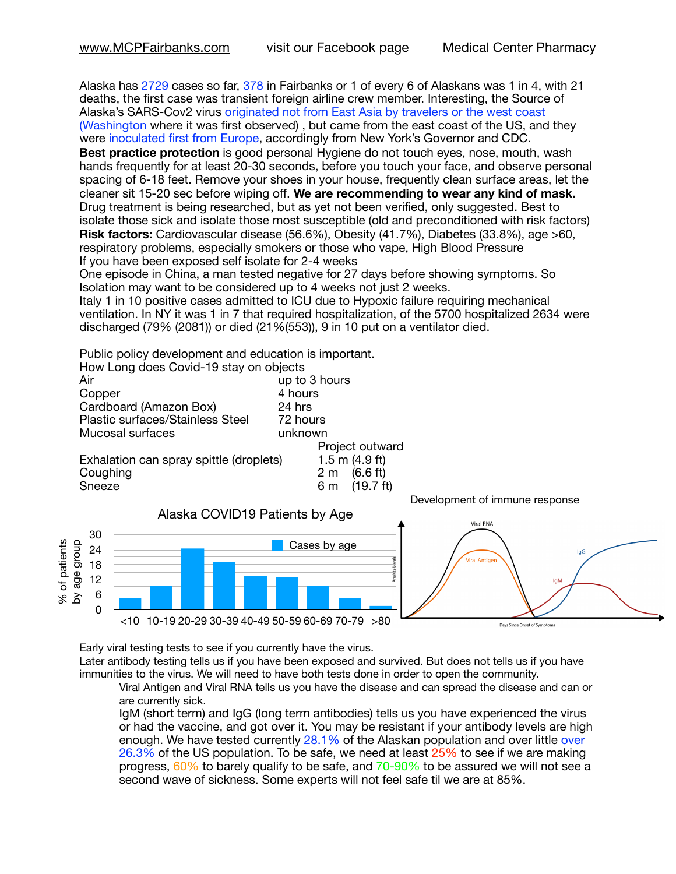Alaska has 2729 cases so far, 378 in Fairbanks or 1 of every 6 of Alaskans was 1 in 4, with 21 deaths, the first case was transient foreign airline crew member. Interesting, the Source of Alaska's SARS-Cov2 virus originated not from East Asia by travelers or the west coast (Washington where it was first observed) , but came from the east coast of the US, and they were inoculated first from Europe, accordingly from New York's Governor and CDC.

**Best practice protection** is good personal Hygiene do not touch eyes, nose, mouth, wash hands frequently for at least 20-30 seconds, before you touch your face, and observe personal spacing of 6-18 feet. Remove your shoes in your house, frequently clean surface areas, let the cleaner sit 15-20 sec before wiping off. **We are recommending to wear any kind of mask.** Drug treatment is being researched, but as yet not been verified, only suggested. Best to isolate those sick and isolate those most susceptible (old and preconditioned with risk factors) **Risk factors:** Cardiovascular disease (56.6%), Obesity (41.7%), Diabetes (33.8%), age >60, respiratory problems, especially smokers or those who vape, High Blood Pressure If you have been exposed self isolate for 2-4 weeks

One episode in China, a man tested negative for 27 days before showing symptoms. So Isolation may want to be considered up to 4 weeks not just 2 weeks.

Italy 1 in 10 positive cases admitted to ICU due to Hypoxic failure requiring mechanical ventilation. In NY it was 1 in 7 that required hospitalization, of the 5700 hospitalized 2634 were discharged (79% (2081)) or died (21%(553)), 9 in 10 put on a ventilator died.

Public policy development and education is important.

| How Long does Covid-19 stay on objects  |                            |
|-----------------------------------------|----------------------------|
| Air                                     | up to 3 hours              |
| Copper                                  | 4 hours                    |
| Cardboard (Amazon Box)                  | 24 hrs                     |
| Plastic surfaces/Stainless Steel        | 72 hours                   |
| Mucosal surfaces                        | unknown                    |
|                                         | Project outward            |
| Exhalation can spray spittle (droplets) | 1.5 m $(4.9$ ft)           |
| Coughing                                | (6.6 ft)<br>2 <sub>m</sub> |

Sneeze  $\overline{6}$  m (19.7 ft)



Early viral testing tests to see if you currently have the virus.

Later antibody testing tells us if you have been exposed and survived. But does not tells us if you have immunities to the virus. We will need to have both tests done in order to open the community.

Viral Antigen and Viral RNA tells us you have the disease and can spread the disease and can or are currently sick.

IgM (short term) and IgG (long term antibodies) tells us you have experienced the virus or had the vaccine, and got over it. You may be resistant if your antibody levels are high enough. We have tested currently 28.1% of the Alaskan population and over little over 26.3% of the US population. To be safe, we need at least  $25\%$  to see if we are making progress, 60% to barely qualify to be safe, and 70-90% to be assured we will not see a second wave of sickness. Some experts will not feel safe til we are at 85%.